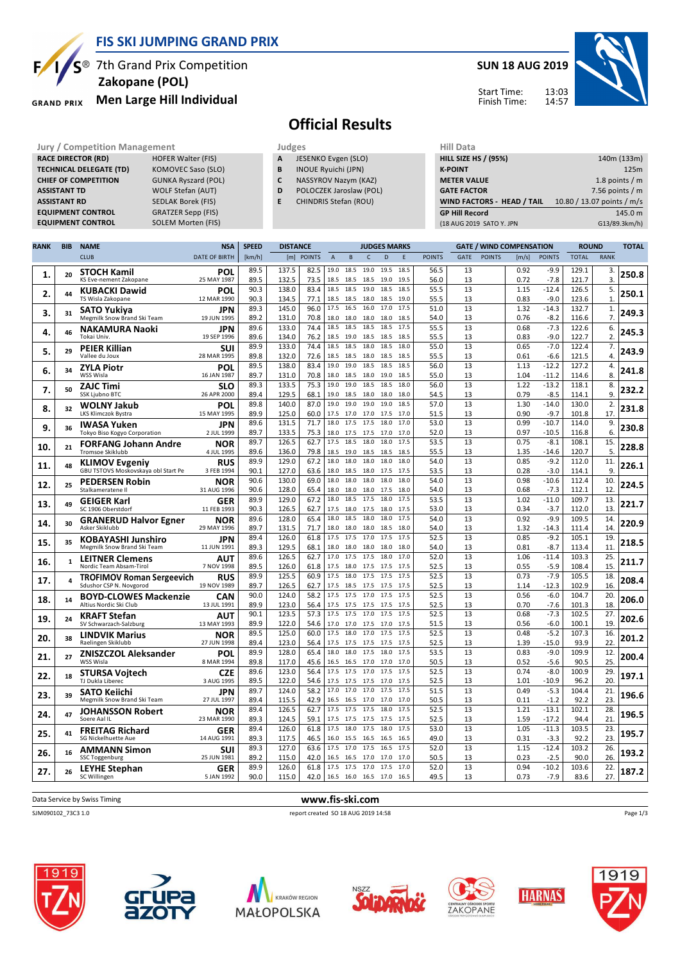

 **Zakopane (POL)**

**TECHNICAL DELEGATE (TD)** KOMOVEC Saso (SLO)<br> **CHIEF OF COMPETITION** GUNKA Ryszard (POL)

**ASSISTANT TD** WOLF Stefan (AUT) **ASSISTANT RD** SEDLAK Borek (FIS)<br>**EQUIPMENT CONTROL** GRATZER Sepp (FIS) **EQUIPMENT CONTROL GRATZER Sepp (FIS)**<br>**EQUIPMENT CONTROL SOLEM Morten (FIS)** 

**GRAND PRIX** 

**RACE DIRECTOR (RD)** 

**CHIEF OF COMPETITION** 

**EQUIPMENT CONTROL** 

# 7th Grand Prix Competition **Men Large Hill Individual**

### **SUN 18 AUG 2019**



Start Time: Finish Time:

### **Official Results**

- **Jury / Competition Management Judges Hill Databased Computers Hill Databased RACE DIRECTOR (RD) HILL SIZE A** JESENKO Evgen (SLO)
	- **B** INOUE Ryuichi (JPN)
	- **C** NASSYROV Nazym (KAZ)
	- **D** POLOCZEK Jaroslaw (POL)
	- **E** CHINDRIS Stefan (ROU)

| (18 AUG 2019 SATO Y. JPN    | G13/89.3km/h)              |
|-----------------------------|----------------------------|
| <b>GP Hill Record</b>       | 145.0 m                    |
| WIND FACTORS - HEAD / TAIL  | 10.80 / 13.07 points / m/s |
| <b>GATE FACTOR</b>          | 7.56 points $/m$           |
| <b>METER VALUE</b>          | 1.8 points $/m$            |
| <b>K-POINT</b>              | 125m                       |
| <b>HILL SIZE HS / (95%)</b> | 140m (133m)                |
| Hill Data                   |                            |

| <b>RANK</b> | <b>BIB</b>   | <b>NAME</b>                                                  | <b>NSA</b>                | <b>SPEED</b><br><b>DISTANCE</b> |                |               |                           |                             |                   | <b>JUDGES MARKS</b> |              |               | <b>GATE / WIND COMPENSATION</b> |               |                      |                    | <b>ROUND</b>   |                      | <b>TOTAL</b> |
|-------------|--------------|--------------------------------------------------------------|---------------------------|---------------------------------|----------------|---------------|---------------------------|-----------------------------|-------------------|---------------------|--------------|---------------|---------------------------------|---------------|----------------------|--------------------|----------------|----------------------|--------------|
|             |              | <b>CLUB</b>                                                  | <b>DATE OF BIRTH</b>      | [km/h]                          | [m]            | <b>POINTS</b> | $\boldsymbol{\mathsf{A}}$ | $\mathsf{B}$                | $\mathsf{C}$      | D                   | $\mathsf E$  | <b>POINTS</b> | <b>GATE</b>                     | <b>POINTS</b> | [m/s]                | <b>POINTS</b>      | <b>TOTAL</b>   | <b>RANK</b>          |              |
| 1.          | 20           | <b>STOCH Kamil</b><br>KS Eve-nement Zakopane                 | POL<br>25 MAY 1987        | 89.5<br>89.5                    | 137.5<br>132.5 | 82.5<br>73.5  | 19.0<br>18.5              | 18.5<br>18.5                | 19.0<br>18.5      | 19.5<br>19.0        | 18.5<br>19.5 | 56.5<br>56.0  | 13<br>13                        |               | 0.92<br>0.72         | -9.9<br>$-7.8$     | 129.1<br>121.7 | 3.<br>3.             | 250.8        |
| 2.          | 44           | <b>KUBACKI Dawid</b><br>TS Wisla Zakopane                    | POL<br>12 MAR 1990        | 90.3<br>90.3                    | 138.0<br>134.5 | 83.4<br>77.1  | 18.5<br>18.5              | 18.5<br>18.5                | 19.0<br>18.0      | 18.5<br>18.5        | 18.5<br>19.0 | 55.5<br>55.5  | 13<br>13                        |               | 1.15<br>0.83         | $-12.4$<br>$-9.0$  | 126.5<br>123.6 | 5.<br>1.             | 250.1        |
| з.          | 31           | SATO Yukiya<br>Megmilk Snow Brand Ski Team                   | JPN<br>19 JUN 1995        | 89.3<br>89.2                    | 145.0<br>131.0 | 96.0<br>70.8  | 17.5                      | 16.5<br>18.0 18.0 18.0 18.0 | 16.0              | 17.0                | 17.5<br>18.5 | 51.0<br>54.0  | 13<br>13                        |               | 1.32<br>0.76         | $-14.3$<br>$-8.2$  | 132.7<br>116.6 | 1.<br>7.             | 249.3        |
| 4.          | 46           | <b>NAKAMURA Naoki</b><br>Tokai Univ.                         | JPN<br>19 SEP 1996        | 89.6<br>89.6                    | 133.0<br>134.0 | 74.4<br>76.2  | 18.5<br>18.5              | 18.5<br>19.0                | 18.5<br>18.5      | 18.5<br>18.5        | 17.5<br>18.5 | 55.5<br>55.5  | 13<br>13                        |               | 0.68<br>0.83         | $-7.3$<br>$-9.0$   | 122.6<br>122.7 | 6.<br>$\overline{2}$ | 245.3        |
| 5.          | 29           | <b>PEIER Killian</b><br>Vallee du Joux                       | SUI<br>28 MAR 1995        | 89.9<br>89.8                    | 133.0<br>132.0 | 74.4<br>72.6  | 18.5<br>18.5              | 18.5 18.0                   |                   | 18.5                | 18.0<br>18.5 | 55.0          | 13<br>13                        |               | 0.65                 | $-7.0$             | 122.4<br>121.5 | 7.<br>4.             | 243.9        |
| 6.          | 34           | <b>ZYLA Piotr</b>                                            | POL                       | 89.5                            | 138.0          | 83.4          | 19.0                      | 18.5<br>19.0                | 18.0<br>18.5      | 18.5<br>18.5        | 18.5         | 55.5<br>56.0  | 13<br>13                        |               | 0.61<br>1.13<br>1.04 | $-6.6$<br>$-12.2$  | 127.2          | 4.<br>8.             | 241.8        |
| 7.          | 50           | WSS Wisla<br>ZAJC Timi                                       | 16 JAN 1987<br><b>SLO</b> | 89.7<br>89.3                    | 131.0<br>133.5 | 70.8<br>75.3  | 18.0<br>19.0              | 18.5<br>19.0                | 18.0<br>18.5      | 19.0<br>18.5        | 18.5<br>18.0 | 55.0<br>56.0  | 13                              |               | 1.22                 | $-11.2$<br>$-13.2$ | 114.6<br>118.1 | 8.                   | 232.2        |
| 8.          | 32           | SSK Ljubno BTC<br><b>WOLNY Jakub</b>                         | 26 APR 2000<br>POL        | 89.4<br>89.8                    | 129.5<br>140.0 | 68.1<br>87.0  | 19.0                      | 19.0 18.5<br>19.0           | 18.0<br>19.0      | 18.0<br>19.0        | 18.0<br>18.5 | 54.5<br>57.0  | 13<br>13                        |               | 0.79<br>1.30         | $-8.5$<br>$-14.0$  | 114.1<br>130.0 | 9.<br>2.             | 231.8        |
| 9.          | 36           | LKS Klimczok Bystra<br>IWASA Yuken                           | 15 MAY 1995<br>JPN        | 89.9<br>89.6                    | 125.0<br>131.5 | 60.0<br>71.7  | 17.5<br>18.0              | 17.0<br>17.5                | 17.0<br>17.5      | 17.5<br>18.0        | 17.0<br>17.0 | 51.5<br>53.0  | 13<br>13                        |               | 0.90<br>0.99         | $-9.7$<br>$-10.7$  | 101.8<br>114.0 | 17.<br>9.            | 230.8        |
| 10.         | 21           | Tokyo Biso Kogyo Corporation<br><b>FORFANG Johann Andre</b>  | 2 JUL 1999<br><b>NOR</b>  | 89.7<br>89.7                    | 133.5<br>126.5 | 75.3<br>62.7  | 17.5                      | 18.0 17.5<br>18.5           | 17.5 17.0<br>18.0 | 18.0                | 17.0<br>17.5 | 52.0<br>53.5  | 13<br>13                        |               | 0.97<br>0.75         | $-10.5$<br>$-8.1$  | 116.8<br>108.1 | 6.<br>15.            | 228.8        |
|             | 48           | <b>Tromsoe Skiklubb</b><br><b>KLIMOV Evgeniy</b>             | 4 JUL 1995<br>RUS         | 89.6<br>89.9                    | 136.0<br>129.0 | 79.8<br>67.2  | 18.5<br>18.0              | 19.0<br>18.0                | 18.5<br>18.0      | 18.5<br>18.0        | 18.5<br>18.0 | 55.5<br>54.0  | 13<br>13                        |               | 1.35<br>0.85         | $-14.6$<br>$-9.2$  | 120.7<br>112.0 | 5.<br>11.            | 226.1        |
| 11.         |              | GBU TSTOVS Moskovskaya obl Start Pe<br><b>PEDERSEN Robin</b> | 3 FEB 1994<br>NOR         | 90.1<br>90.6                    | 127.0<br>130.0 | 63.6<br>69.0  | 18.0                      | 18.0 18.5 18.0<br>18.0      | 18.0              | 17.5<br>18.0        | 17.5<br>18.0 | 53.5<br>54.0  | 13<br>13                        |               | 0.28<br>0.98         | $-3.0$<br>$-10.6$  | 114.1<br>112.4 | 9.<br>10.            |              |
| 12.         | 25           | Stalkameratene II<br><b>GEIGER Karl</b>                      | 31 AUG 1996<br>GER        | 90.6<br>89.9                    | 128.0<br>129.0 | 65.4<br>67.2  | 18.0<br>18.0              | 18.0<br>18.5 17.5           | 18.0              | 17.5<br>18.0        | 18.0<br>17.5 | 54.0<br>53.5  | 13<br>13                        |               | 0.68<br>1.02         | $-7.3$<br>$-11.0$  | 112.1<br>109.7 | 12<br>13.            | 224.5        |
| 13.         | 49           | SC 1906 Oberstdorf                                           | 11 FEB 1993<br>NOR        | 90.3<br>89.6                    | 126.5<br>128.0 | 62.7<br>65.4  | 17.5<br>18.0              | 18.0<br>18.5                | 17.5<br>18.0      | 18.0<br>18.0        | 17.5<br>17.5 | 53.0<br>54.0  | 13<br>13                        |               | 0.34<br>0.92         | $-3.7$<br>$-9.9$   | 112.0<br>109.5 | 13.<br>14            | 221.7        |
| 14.         | 30           | <b>GRANERUD Halvor Egner</b><br>Asker Skiklubb               | 29 MAY 1996               | 89.7<br>89.4                    | 131.5<br>126.0 | 71.7<br>61.8  | 17.5                      | 18.0 18.0 18.0 18.5<br>17.5 | 17.0              | 17.5                | 18.0<br>17.5 | 54.0<br>52.5  | 13<br>13                        |               | 1.32<br>0.85         | $-14.3$<br>$-9.2$  | 111.4<br>105.1 | 14.<br>19.           | 220.9        |
| 15          | 35           | <b>KOBAYASHI Junshiro</b><br>Megmilk Snow Brand Ski Team     | JPN<br>11 JUN 1991        | 89.3                            | 129.5          | 68.1          | 18.0                      | 18.0                        | 18.0              | 18.0                | 18.0         | 54.0          | 13                              |               | 0.81                 | $-8.7$             | 113.4          | 11                   | 218.5        |
| 16.         | $\mathbf{1}$ | <b>LEITNER Clemens</b><br>Nordic Team Absam-Tirol            | ΑUΤ<br>7 NOV 1998         | 89.6<br>89.5                    | 126.5<br>126.0 | 62.7<br>61.8  | 17.5                      | 17.0 17.5 17.5<br>18.0      | 17.5              | 18.0<br>17.5        | 17.0<br>17.5 | 52.0<br>52.5  | 13<br>13                        |               | 1.06<br>0.55         | $-11.4$<br>$-5.9$  | 103.3<br>108.4 | 25.<br>15.           | 211.7        |
| 17.         | 4            | <b>TROFIMOV Roman Sergeevich</b><br>Sdushor CSP N. Novgorod  | <b>RUS</b><br>19 NOV 1989 | 89.9<br>89.7                    | 125.5<br>126.5 | 60.9<br>62.7  | 17.5                      | 18.0<br>17.5 18.5           | 17.5<br>17.5      | 17.5<br>17.5        | 17.5<br>17.5 | 52.5<br>52.5  | 13<br>13                        |               | 0.73<br>1.14         | $-7.9$<br>$-12.3$  | 105.5<br>102.9 | 18.<br>16.           | 208.4        |
| 18.         | 14           | <b>BOYD-CLOWES Mackenzie</b><br>Altius Nordic Ski Club       | <b>CAN</b><br>13 JUL 1991 | 90.0<br>89.9                    | 124.0<br>123.0 | 58.2<br>56.4  | 17.5                      | 17.5<br>17.5 17.5 17.5      | 17.0              | 17.5<br>17.5        | 17.5<br>175  | 52.5<br>52.5  | 13<br>13                        |               | 0.56<br>0.70         | $-6.0$<br>$-7.6$   | 104.7<br>101.3 | 20.<br>18.           | 206.0        |
| 19.         | 24           | <b>KRAFT Stefan</b><br>SV Schwarzach-Salzburg                | AUT<br>13 MAY 1993        | 90.1<br>89.9                    | 123.5<br>122.0 | 57.3<br>54.6  | 17.5<br>17.0              | 17.5<br>17.0                | 17.0<br>17.5      | 17.5<br>17.0        | 17.5<br>17.5 | 52.5<br>51.5  | 13<br>13                        |               | 0.68<br>0.56         | $-7.3$<br>$-6.0$   | 102.5<br>100.1 | 27.<br>19.           | 202.6        |
| 20.         | 38           | <b>LINDVIK Marius</b><br>Raelingen Skiklubb                  | NOR<br>27 JUN 1998        | 89.5<br>89.4                    | 125.0<br>123.0 | 60.0<br>56.4  | 17.5                      | 18.0<br>17.5 17.5           | 17.0<br>17.5      | 17.5<br>17.5        | 17.5<br>17.5 | 52.5<br>52.5  | 13<br>13                        |               | 0.48<br>1.39         | $-5.2$<br>$-15.0$  | 107.3<br>93.9  | 16.<br>22            | 201.2        |
| 21.         | 27           | <b>ZNISZCZOL Aleksander</b><br>WSS Wisla                     | POL<br>8 MAR 1994         | 89.9<br>89.8                    | 128.0<br>117.0 | 65.4<br>45.6  | 18.0<br>16.5              | 18.0<br>16.5                | 17.5<br>17.0      | 18.0<br>17.0        | 17.5<br>17.0 | 53.5<br>50.5  | 13<br>13                        |               | 0.83<br>0.52         | $-9.0$<br>$-5.6$   | 109.9<br>90.5  | 12.<br>25.           | 200.4        |
| 22.         | 18           | STURSA Vojtech<br>TJ Dukla Liberec                           | CZE<br>3 AUG 1995         | 89.6<br>89.5                    | 123.0<br>122.0 | 56.4<br>54.6  | 17.5                      | 17.5<br>17.5 17.5 17.5 17.0 | 17.0              | 17.5                | 17.5<br>17.5 | 52.5<br>52.5  | 13<br>13                        |               | 0.74<br>1.01         | $-8.0$<br>$-10.9$  | 100.9<br>96.2  | 29.<br>20            | 197.1        |
| 23.         | 39           | SATO Keiichi<br>Megmilk Snow Brand Ski Team                  | JPN<br>27 JUL 1997        | 89.7<br>89.4                    | 124.0<br>115.5 | 58.2<br>42.9  | 17.0<br>16.5              | 17.0<br>16.5                | 17.0<br>17.0      | 17.5<br>17.0        | 17.5<br>17.0 | 51.5<br>50.5  | 13<br>13                        |               | 0.49<br>0.11         | $-5.3$<br>$-1.2$   | 104.4<br>92.2  | 21.<br>23            | 196.6        |
| 24.         | 47           | JOHANSSON Robert<br>Soere Aal II                             | NOR<br>23 MAR 1990        | 89.4<br>89.3                    | 126.5<br>124.5 | 62.7<br>59.1  | 17.5                      | 17.5 17.5 17.5<br>17.5      | 17.5              | 18.0<br>17.5        | 17.5<br>17.5 | 52.5<br>52.5  | 13<br>13                        |               | 1.21<br>1.59         | $-13.1$<br>$-17.2$ | 102.1<br>94.4  | 28.<br>21            | 196.5        |
| 25.         | 41           | <b>FREITAG Richard</b><br><b>SG Nickelhuette Aue</b>         | GER<br>14 AUG 1991        | 89.4<br>89.3                    | 126.0<br>117.5 | 61.8<br>46.5  | 17.5                      | 18.0<br>16.0 15.5 16.5      | 17.5              | 18.0<br>16.5        | 17.5<br>16.5 | 53.0<br>49.0  | 13<br>13                        |               | 1.05<br>0.31         | $-11.3$<br>$-3.3$  | 103.5<br>92.2  | 23.<br>23            | 195.7        |
| 26.         | 16           | <b>AMMANN Simon</b>                                          | <b>SUI</b>                | 89.3                            | 127.0          | 63.6          | 17.5                      | 17.0                        | 17.5              | 16.5                | 17.5         | 52.0          | 13                              |               | 1.15                 | $-12.4$            | 103.2          | 26.                  | 193.2        |
| 27.         | 26           | SSC Toggenburg<br>LEYHE Stephan                              | 25 JUN 1981<br>GER        | 89.2<br>89.9                    | 115.0<br>126.0 | 42.0<br>61.8  | 16.5                      | 16.5<br>17.5 17.5 17.0 17.5 | 17.0              | 17.0                | 17.0<br>17.0 | 50.5<br>52.0  | 13<br>13                        |               | 0.23<br>0.94         | $-2.5$<br>$-10.2$  | 90.0<br>103.6  | 26.<br>22.           | 187.2        |
|             |              | SC Willingen                                                 | 5 JAN 1992                | 90.0                            | 115.0          | 42.0          |                           | 16.5 16.0 16.5 17.0         |                   |                     | 16.5         | 49.5          | 13                              |               | 0.73                 | $-7.9$             | 83.6           | 27.                  |              |

Data Service by Swiss Timing **www.fis-ski.com**

SJM090102\_73C3 1.0 report created SO 18 AUG 2019 14:58













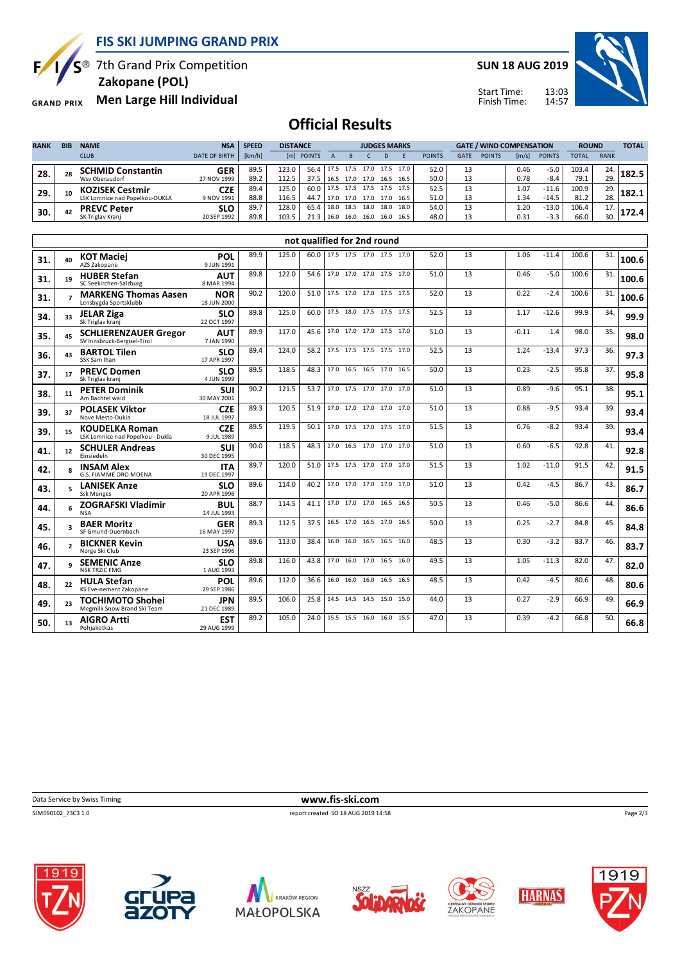**FIS SKI JUMPING GRAND PRIX**



 $S^{\circledast}$  7th Grand Prix Competition

 **Zakopane (POL)**

**Men Large Hill Individual GRAND PRIX** 

**SUN 18 AUG 2019**



14:57 Start Time: Finish Time:

## **Official Results**

| <b>RANK</b> | <b>BIB</b> | <b>NAME</b>                    | <b>NSA</b>           | <b>SPEED</b> | <b>DISTANCE</b> |            |      | <b>JUDGES MARKS</b> |      |      |                     |               | <b>GATE / WIND COMPENSATION</b> |               |       |               | <b>ROUND</b> |             | <b>TOTAL</b> |
|-------------|------------|--------------------------------|----------------------|--------------|-----------------|------------|------|---------------------|------|------|---------------------|---------------|---------------------------------|---------------|-------|---------------|--------------|-------------|--------------|
|             |            | <b>CLUB</b>                    | <b>DATE OF BIRTH</b> | [km/h]       |                 | [m] POINTS |      |                     |      |      |                     | <b>POINTS</b> | <b>GATE</b>                     | <b>POINTS</b> | [m/s] | <b>POINTS</b> | TOTAL        | <b>RANK</b> |              |
| 28.         | 28         | <b>SCHMID Constantin</b>       | GER                  | 89.5         | 123.0           | 56.4       | 17.5 |                     |      |      | 17.5 17.0 17.5 17.0 | 52.0          | 13                              |               | 0.46  | $-5.0$        | 103.4        | 24.         | L82.5        |
|             |            | Wsv Oberaudorf                 | 27 NOV 1999          | 89.2         | 112.5           | 37.5       | 16.5 | 17.0                | 17.0 | 16.5 | 16.5                | 50.0          | 13                              |               | 0.78  | -8.4          | 79.1         | 29.         |              |
| 29          | 10         | <b>KOZISEK Cestmir</b>         | <b>CZE</b>           | 89.4         | 125.0           | 60.0       | 17.5 | 17.5 17.5           |      |      | 17.5 17.5           | 52.5          | 13                              |               | 1.07  | $-11.6$       | 100.9        | 29.         | 182.1        |
|             |            | LSK Lomnice nad Popelkou-DUKLA | 9 NOV 1991           | 88.8         | 116.5           | 44.7       | 17.0 | 17.0                | 17.0 | 17.0 | 16.5                | 51.0          | 13                              |               | 1.34  | $-14.5$       | 81.2         | 28.         |              |
| 30.         | 42         | <b>PREVC Peter</b>             | <b>SLO</b>           | 89.7         | 128.0           | 65.4       | 18.0 | 18.5                | 18.0 | 18.0 | 18.0                | 54.0          | 13                              |               | 1.20  | $-13.0$       | 106.4        | 17.         |              |
|             |            | SK Triglav Kranj               | 20 SEP 1992          | 89.8         | 103.5           | 21.3       | 16.0 | 16.0                | 16.0 | 16.0 | 16.5                | 48.0          | 13                              |               | 0.31  | $-3.3$        | 66.0         | 30.         |              |

|     |                          |                                                             |                           |      |       | not qualified for 2nd round |                          |  |      |      |    |         |         |       |     |       |
|-----|--------------------------|-------------------------------------------------------------|---------------------------|------|-------|-----------------------------|--------------------------|--|------|------|----|---------|---------|-------|-----|-------|
| 31. | 40                       | <b>KOT Maciej</b><br>AZS Zakopane                           | POL<br>9 JUN 1991         | 89.9 | 125.0 | 60.0                        | 17.5 17.5 17.0 17.5 17.0 |  |      | 52.0 | 13 | 1.06    | $-11.4$ | 100.6 | 31. | 100.6 |
| 31. | 19                       | <b>HUBER Stefan</b><br>SC Seekirchen-Salzburg               | <b>AUT</b><br>8 MAR 1994  | 89.8 | 122.0 | 54.6                        | 17.0 17.0 17.0 17.5 17.0 |  |      | 51.0 | 13 | 0.46    | $-5.0$  | 100.6 | 31. | 100.6 |
| 31. | $\overline{ }$           | <b>MARKENG Thomas Aasen</b><br>Lensbygda Sportsklubb        | <b>NOR</b><br>18 JUN 2000 | 90.2 | 120.0 | 51.0                        | 17.5 17.0 17.0 17.5 17.5 |  |      | 52.0 | 13 | 0.22    | $-2.4$  | 100.6 | 31. | 100.6 |
| 34. | 33                       | <b>JELAR Ziga</b><br>Sk Triglav kranj                       | <b>SLO</b><br>22 OCT 1997 | 89.8 | 125.0 | 60.0                        | 17.5 18.0 17.5 17.5 17.5 |  |      | 52.5 | 13 | 1.17    | $-12.6$ | 99.9  | 34. | 99.9  |
| 35. | 45                       | <b>SCHLIERENZAUER Gregor</b><br>SV Innsbruck-Bergisel-Tirol | <b>AUT</b><br>7 JAN 1990  | 89.9 | 117.0 | 45.6                        | 17.0 17.0 17.0 17.5 17.0 |  |      | 51.0 | 13 | $-0.11$ | 1.4     | 98.0  | 35. | 98.0  |
| 36. | 43                       | <b>BARTOL Tilen</b><br>SSK Sam Ihan                         | <b>SLO</b><br>17 APR 1997 | 89.4 | 124.0 | 58.2                        | 17.5 17.5 17.5 17.5 17.0 |  |      | 52.5 | 13 | 1.24    | $-13.4$ | 97.3  | 36. | 97.3  |
| 37. | 17                       | <b>PREVC Domen</b><br>Sk Triglav kranj                      | <b>SLO</b><br>4 JUN 1999  | 89.5 | 118.5 | 48.3                        | 17.0 16.5 16.5 17.0 16.5 |  |      | 50.0 | 13 | 0.23    | $-2.5$  | 95.8  | 37. | 95.8  |
| 38. | 11                       | <b>PETER Dominik</b><br>Am Bachtel wald                     | <b>SUI</b><br>30 MAY 2001 | 90.2 | 121.5 | 53.7                        | 17.0 17.5 17.0 17.0      |  | 17.0 | 51.0 | 13 | 0.89    | $-9.6$  | 95.1  | 38. | 95.1  |
| 39. | 37                       | <b>POLASEK Viktor</b><br>Nove Mesto-Dukla                   | <b>CZE</b><br>18 JUL 1997 | 89.3 | 120.5 | 51.9                        | 17.0 17.0 17.0 17.0 17.0 |  |      | 51.0 | 13 | 0.88    | $-9.5$  | 93.4  | 39. | 93.4  |
| 39. | 15                       | <b>KOUDELKA Roman</b><br>LSK Lomnice nad Popelkou - Dukla   | <b>CZE</b><br>9 JUL 1989  | 89.5 | 119.5 | 50.1                        | 17.0 17.5 17.0 17.5 17.0 |  |      | 51.5 | 13 | 0.76    | $-8.2$  | 93.4  | 39. | 93.4  |
| 41. | 12                       | <b>SCHULER Andreas</b><br>Einsiedeln                        | <b>SUI</b><br>30 DEC 1995 | 90.0 | 118.5 | 48.3                        | 17.0 16.5 17.0 17.0 17.0 |  |      | 51.0 | 13 | 0.60    | $-6.5$  | 92.8  | 41  | 92.8  |
| 42. | $\mathbf{R}$             | <b>INSAM Alex</b><br><b>G.S. FIAMME ORO MOENA</b>           | <b>ITA</b><br>19 DEC 1997 | 89.7 | 120.0 | 51.0                        | 17.5 17.5 17.0 17.0 17.0 |  |      | 51.5 | 13 | 1.02    | $-11.0$ | 91.5  | 42. | 91.5  |
| 43. | 5                        | <b>LANISEK Anze</b><br><b>Ssk Menges</b>                    | <b>SLO</b><br>20 APR 1996 | 89.6 | 114.0 | 40.2                        | 17.0 17.0 17.0 17.0 17.0 |  |      | 51.0 | 13 | 0.42    | $-4.5$  | 86.7  | 43. | 86.7  |
| 44. | 6                        | <b>ZOGRAFSKI Vladimir</b><br><b>NSA</b>                     | <b>BUL</b><br>14 JUL 1993 | 88.7 | 114.5 | 41.1                        | 17.0 17.0 17.0 16.5 16.5 |  |      | 50.5 | 13 | 0.46    | $-5.0$  | 86.6  | 44. | 86.6  |
| 45. | $\overline{\mathbf{a}}$  | <b>BAER Moritz</b><br>SF Gmund-Duernbach                    | <b>GER</b><br>16 MAY 1997 | 89.3 | 112.5 | 37.5                        | 16.5 17.0 16.5 17.0      |  | 16.5 | 50.0 | 13 | 0.25    | $-2.7$  | 84.8  | 45. | 84.8  |
| 46. | $\overline{\phantom{a}}$ | <b>BICKNER Kevin</b><br>Norge Ski Club                      | <b>USA</b><br>23 SEP 1996 | 89.6 | 113.0 | 38.4                        | 16.0 16.0 16.5 16.5 16.0 |  |      | 48.5 | 13 | 0.30    | $-3.2$  | 83.7  | 46. | 83.7  |
| 47. | q                        | <b>SEMENIC Anze</b><br><b>NSK TRZIC FMG</b>                 | <b>SLO</b><br>1 AUG 1993  | 89.8 | 116.0 | 43.8                        | 17.0 16.0 17.0 16.5      |  | 16.0 | 49.5 | 13 | 1.05    | $-11.3$ | 82.0  | 47. | 82.0  |
| 48. | 22                       | <b>HULA Stefan</b><br>KS Eve-nement Zakopane                | <b>POL</b><br>29 SEP 1986 | 89.6 | 112.0 | 36.6                        | 16.0 16.0 16.0 16.5      |  | 16.5 | 48.5 | 13 | 0.42    | $-4.5$  | 80.6  | 48. | 80.6  |
| 49. | 23                       | <b>TOCHIMOTO Shohei</b><br>Megmilk Snow Brand Ski Team      | <b>JPN</b><br>21 DEC 1989 | 89.5 | 106.0 | 25.8                        | 14.5 14.5 14.5 15.0      |  | 15.0 | 44.0 | 13 | 0.27    | $-2.9$  | 66.9  | 49. | 66.9  |
| 50. | 13                       | <b>AIGRO Artti</b><br>Pohjakotkas                           | <b>EST</b><br>29 AUG 1999 | 89.2 | 105.0 | 24.0                        | 15.5 15.5 16.0 16.0      |  | 15.5 | 47.0 | 13 | 0.39    | $-4.2$  | 66.8  | 50. | 66.8  |
|     |                          |                                                             |                           |      |       |                             |                          |  |      |      |    |         |         |       |     |       |

**Data Service by Swiss Timing WWW.fis-ski.com** 

SJM090102\_73C3 1.0 report created SO 18 AUG 2019 14:58















Page 2/3